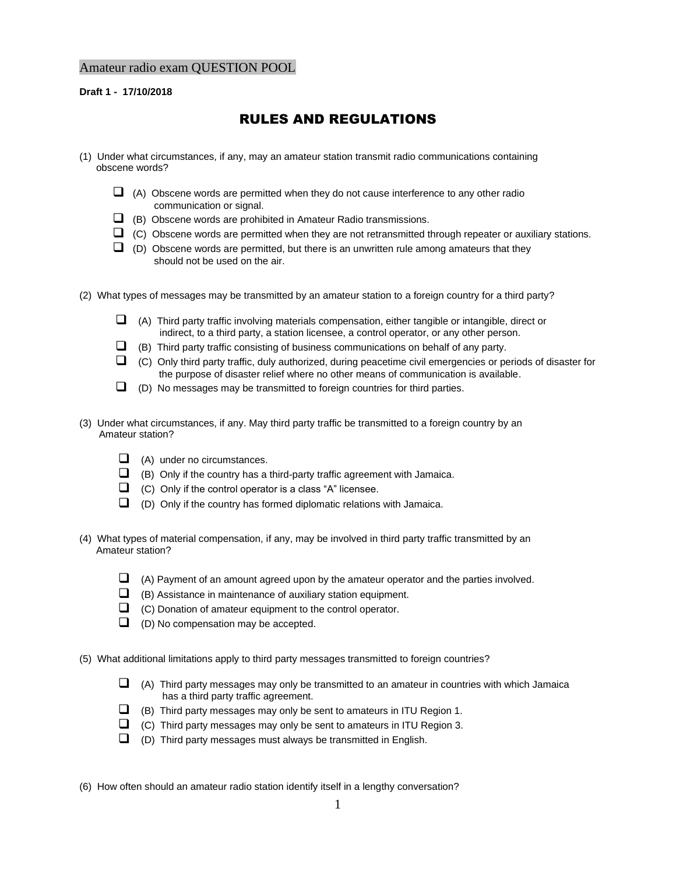## Amateur radio exam QUESTION POOL

**Draft 1 - 17/10/2018**

## RULES AND REGULATIONS

- (1) Under what circumstances, if any, may an amateur station transmit radio communications containing obscene words?
	- $\Box$  (A) Obscene words are permitted when they do not cause interference to any other radio communication or signal.
	- ❑ (B) Obscene words are prohibited in Amateur Radio transmissions.
	- $\Box$  (C) Obscene words are permitted when they are not retransmitted through repeater or auxiliary stations.
	- $\Box$  (D) Obscene words are permitted, but there is an unwritten rule among amateurs that they should not be used on the air.
- (2) What types of messages may be transmitted by an amateur station to a foreign country for a third party?
	- $\Box$  (A) Third party traffic involving materials compensation, either tangible or intangible, direct or indirect, to a third party, a station licensee, a control operator, or any other person.
	- $\Box$  (B) Third party traffic consisting of business communications on behalf of any party.
	- ❑ (C) Only third party traffic, duly authorized, during peacetime civil emergencies or periods of disaster for the purpose of disaster relief where no other means of communication is available.
	- $\Box$  (D) No messages may be transmitted to foreign countries for third parties.
- (3) Under what circumstances, if any. May third party traffic be transmitted to a foreign country by an Amateur station?
	- ❑ (A) under no circumstances.
	- ❑ (B) Only if the country has a third-party traffic agreement with Jamaica.
	- ❑ (C) Only if the control operator is a class "A" licensee.
	- ❑ (D) Only if the country has formed diplomatic relations with Jamaica.
- (4) What types of material compensation, if any, may be involved in third party traffic transmitted by an Amateur station?
	- ❑ (A) Payment of an amount agreed upon by the amateur operator and the parties involved.
	- $\Box$  (B) Assistance in maintenance of auxiliary station equipment.
	- ❑ (C) Donation of amateur equipment to the control operator.
	- ❑ (D) No compensation may be accepted.

(5) What additional limitations apply to third party messages transmitted to foreign countries?

- $\Box$  (A) Third party messages may only be transmitted to an amateur in countries with which Jamaica has a third party traffic agreement.
- ❑ (B) Third party messages may only be sent to amateurs in ITU Region 1.
- $\Box$  (C) Third party messages may only be sent to amateurs in ITU Region 3.
- $\Box$  (D) Third party messages must always be transmitted in English.

(6) How often should an amateur radio station identify itself in a lengthy conversation?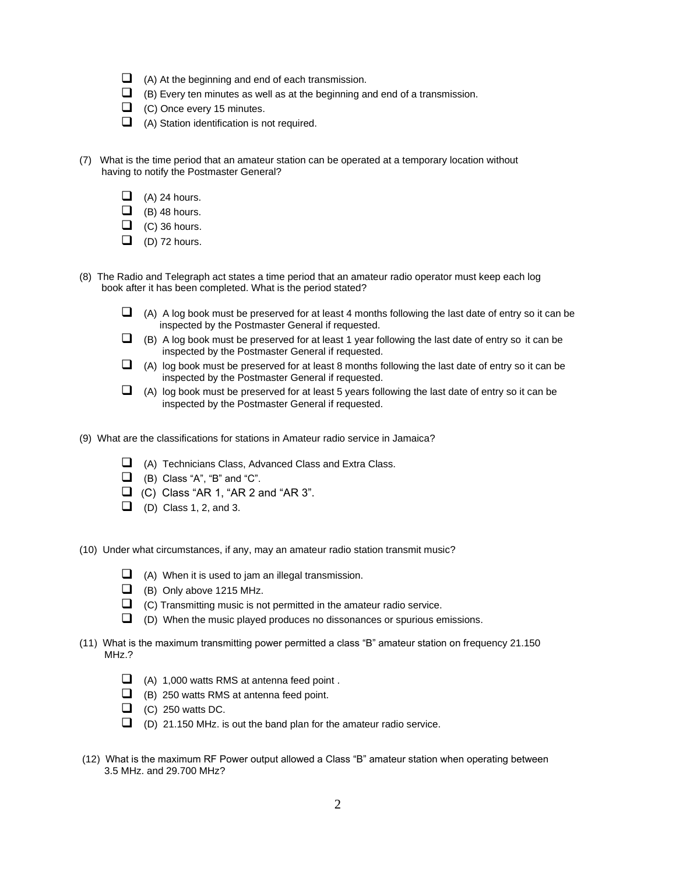- $\Box$  (A) At the beginning and end of each transmission.
- $\Box$  (B) Every ten minutes as well as at the beginning and end of a transmission.
- ❑ (C) Once every 15 minutes.
- ❑ (A) Station identification is not required.
- (7) What is the time period that an amateur station can be operated at a temporary location without having to notify the Postmaster General?
	- $\Box$  (A) 24 hours.
	- $\Box$  (B) 48 hours.
	- $\Box$  (C) 36 hours.
	- $\Box$  (D) 72 hours.
- (8) The Radio and Telegraph act states a time period that an amateur radio operator must keep each log book after it has been completed. What is the period stated?
	- $\Box$  (A) A log book must be preserved for at least 4 months following the last date of entry so it can be inspected by the Postmaster General if requested.
	- $\Box$  (B) A log book must be preserved for at least 1 year following the last date of entry so it can be inspected by the Postmaster General if requested.
	- $\Box$  (A) log book must be preserved for at least 8 months following the last date of entry so it can be inspected by the Postmaster General if requested.
	- ❑ (A) log book must be preserved for at least 5 years following the last date of entry so it can be inspected by the Postmaster General if requested.
- (9) What are the classifications for stations in Amateur radio service in Jamaica?
	- ❑ (A) Technicians Class, Advanced Class and Extra Class.
	- $\Box$  (B) Class "A", "B" and "C".
	- $\Box$  (C) Class "AR 1, "AR 2 and "AR 3".
	- $\Box$  (D) Class 1, 2, and 3.

(10) Under what circumstances, if any, may an amateur radio station transmit music?

- $\Box$  (A) When it is used to jam an illegal transmission.
- ❑ (B) Only above 1215 MHz.
- ❑ (C) Transmitting music is not permitted in the amateur radio service.
- ❑ (D) When the music played produces no dissonances or spurious emissions.
- (11) What is the maximum transmitting power permitted a class "B" amateur station on frequency 21.150 MHz.?
	- $\Box$  (A) 1,000 watts RMS at antenna feed point.
	- ❑ (B) 250 watts RMS at antenna feed point.
	- $\Box$  (C) 250 watts DC.
	- $\Box$  (D) 21.150 MHz. is out the band plan for the amateur radio service.
- (12) What is the maximum RF Power output allowed a Class "B" amateur station when operating between 3.5 MHz. and 29.700 MHz?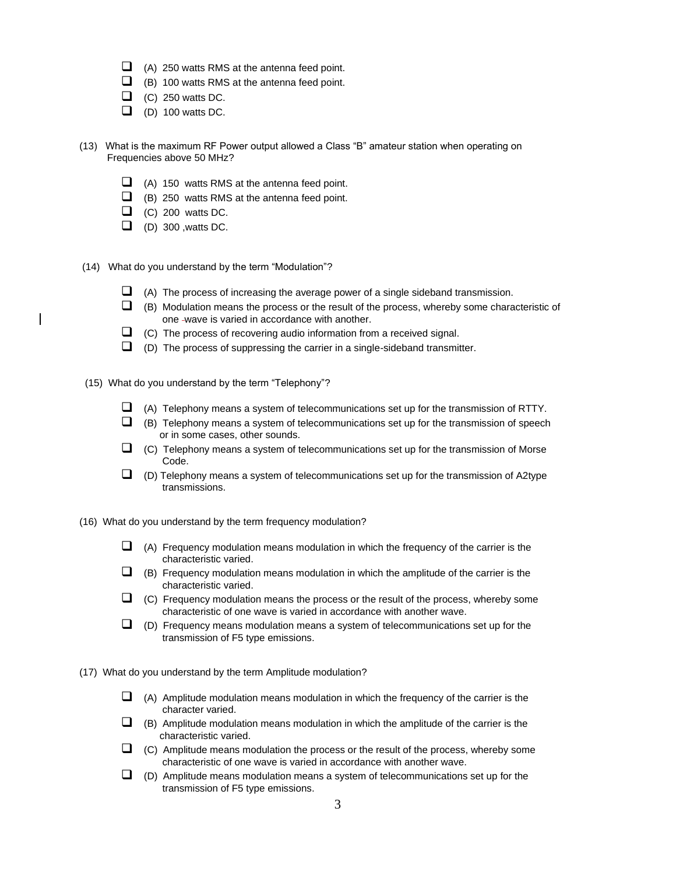- $\Box$  (A) 250 watts RMS at the antenna feed point.
- $\Box$  (B) 100 watts RMS at the antenna feed point.
- $\Box$  (C) 250 watts DC.
- $\Box$  (D) 100 watts DC.
- (13) What is the maximum RF Power output allowed a Class "B" amateur station when operating on Frequencies above 50 MHz?
	- $\Box$  (A) 150 watts RMS at the antenna feed point.
	- ❑ (B) 250 watts RMS at the antenna feed point.
	- $\Box$  (C) 200 watts DC.
	- $\Box$  (D) 300, watts DC.
- (14) What do you understand by the term "Modulation"?
	- $\Box$  (A) The process of increasing the average power of a single sideband transmission.
	- $\Box$  (B) Modulation means the process or the result of the process, whereby some characteristic of one -wave is varied in accordance with another.
	- $\Box$  (C) The process of recovering audio information from a received signal.
	- $\Box$  (D) The process of suppressing the carrier in a single-sideband transmitter.
- (15) What do you understand by the term "Telephony"?
	- ❑ (A) Telephony means a system of telecommunications set up for the transmission of RTTY.
	- $\Box$  (B) Telephony means a system of telecommunications set up for the transmission of speech or in some cases, other sounds.
	- $\Box$  (C) Telephony means a system of telecommunications set up for the transmission of Morse Code.
	- $\Box$  (D) Telephony means a system of telecommunications set up for the transmission of A2type transmissions.

(16) What do you understand by the term frequency modulation?

- $\Box$  (A) Frequency modulation means modulation in which the frequency of the carrier is the characteristic varied.
- $\Box$  (B) Frequency modulation means modulation in which the amplitude of the carrier is the characteristic varied.
- $\Box$  (C) Frequency modulation means the process or the result of the process, whereby some characteristic of one wave is varied in accordance with another wave.
- $\Box$  (D) Frequency means modulation means a system of telecommunications set up for the transmission of F5 type emissions.

(17) What do you understand by the term Amplitude modulation?

- $\Box$  (A) Amplitude modulation means modulation in which the frequency of the carrier is the character varied.
- $\Box$  (B) Amplitude modulation means modulation in which the amplitude of the carrier is the characteristic varied.
- $\Box$  (C) Amplitude means modulation the process or the result of the process, whereby some characteristic of one wave is varied in accordance with another wave.
- $\Box$  (D) Amplitude means modulation means a system of telecommunications set up for the transmission of F5 type emissions.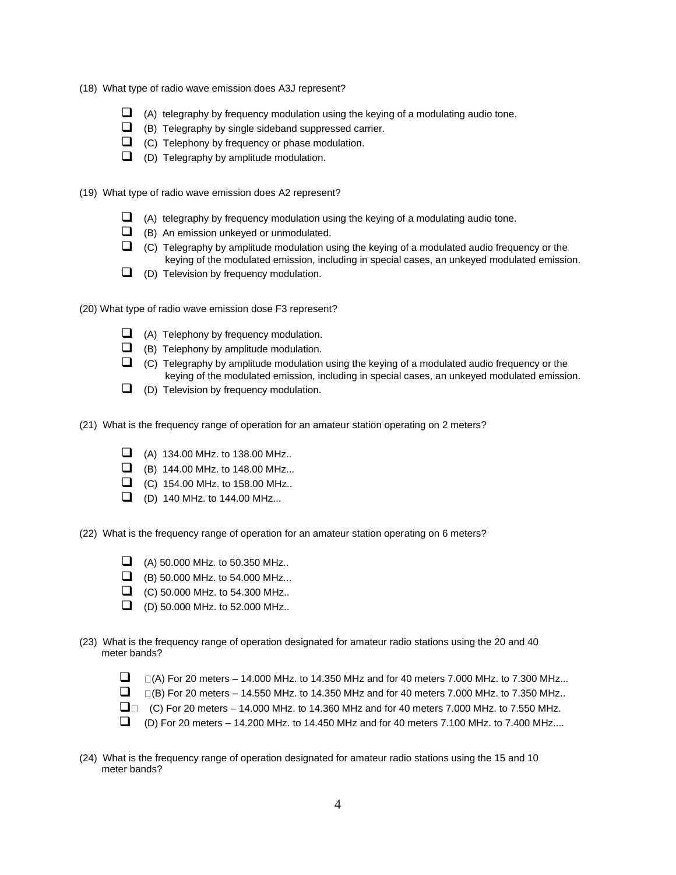- (18) What type of radio wave emission does A3J represent?
	- $\Box$  (A) telegraphy by frequency modulation using the keying of a modulating audio tone.
	- ❑ (B) Telegraphy by single sideband suppressed carrier.
	- ❑ (C) Telephony by frequency or phase modulation.
	- ❑ (D) Telegraphy by amplitude modulation.

(19) What type of radio wave emission does A2 represent?

- $\Box$  (A) telegraphy by frequency modulation using the keying of a modulating audio tone.
- ❑ (B) An emission unkeyed or unmodulated.
- $\Box$  (C) Telegraphy by amplitude modulation using the keying of a modulated audio frequency or the keying of the modulated emission, including in special cases, an unkeyed modulated emission.
- ❑ (D) Television by frequency modulation.

(20) What type of radio wave emission dose F3 represent?

- $\Box$  (A) Telephony by frequency modulation.
- ❑ (B) Telephony by amplitude modulation.
- ❑ (C) Telegraphy by amplitude modulation using the keying of a modulated audio frequency or the keying of the modulated emission, including in special cases, an unkeyed modulated emission.
- ❑ (D) Television by frequency modulation.

(21) What is the frequency range of operation for an amateur station operating on 2 meters?

- $\Box$  (A) 134.00 MHz. to 138.00 MHz..
- ❑ (B) 144.00 MHz. to 148.00 MHz...
- ❑ (C) 154.00 MHz. to 158.00 MHz..
- ❑ (D) 140 MHz. to 144.00 MHz...

(22) What is the frequency range of operation for an amateur station operating on 6 meters?

- ❑ (A) 50.000 MHz. to 50.350 MHz..
- ❑ (B) 50.000 MHz. to 54.000 MHz...
- ❑ (C) 50.000 MHz. to 54.300 MHz..
- ❑ (D) 50.000 MHz. to 52.000 MHz..
- (23) What is the frequency range of operation designated for amateur radio stations using the 20 and 40 meter bands?
	- $\Box$   $\Box$  (A) For 20 meters 14.000 MHz. to 14.350 MHz and for 40 meters 7.000 MHz. to 7.300 MHz...
	- $\Box$   $\Box$  (B) For 20 meters 14.550 MHz. to 14.350 MHz and for 40 meters 7.000 MHz. to 7.350 MHz..
	- $\Box$  (C) For 20 meters 14.000 MHz. to 14.360 MHz and for 40 meters 7.000 MHz. to 7.550 MHz.
	- $\Box$  (D) For 20 meters 14.200 MHz. to 14.450 MHz and for 40 meters 7.100 MHz. to 7.400 MHz....
- (24) What is the frequency range of operation designated for amateur radio stations using the 15 and 10 meter bands?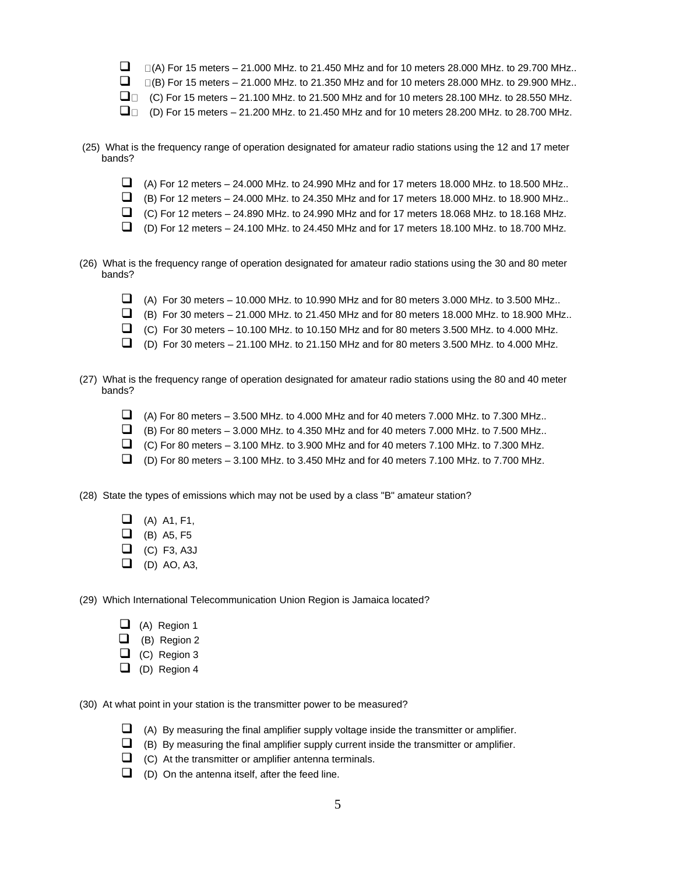- $\Box$   $\Box$  (A) For 15 meters 21.000 MHz. to 21.450 MHz and for 10 meters 28.000 MHz. to 29.700 MHz..
- $\Box$   $\Box$  (B) For 15 meters 21.000 MHz. to 21.350 MHz and for 10 meters 28.000 MHz. to 29.900 MHz..
- $\square$  (C) For 15 meters 21.100 MHz. to 21.500 MHz and for 10 meters 28.100 MHz. to 28.550 MHz.
- $\Box$  (D) For 15 meters 21.200 MHz. to 21.450 MHz and for 10 meters 28.200 MHz. to 28.700 MHz.
- (25) What is the frequency range of operation designated for amateur radio stations using the 12 and 17 meter bands?
	- ❑ (A) For 12 meters 24.000 MHz. to 24.990 MHz and for 17 meters 18.000 MHz. to 18.500 MHz..
	- $\Box$  (B) For 12 meters 24.000 MHz. to 24.350 MHz and for 17 meters 18.000 MHz. to 18.900 MHz..
	- $\Box$  (C) For 12 meters 24.890 MHz. to 24.990 MHz and for 17 meters 18.068 MHz. to 18.168 MHz.
	- $\Box$  (D) For 12 meters 24.100 MHz. to 24.450 MHz and for 17 meters 18.100 MHz. to 18.700 MHz.
- (26) What is the frequency range of operation designated for amateur radio stations using the 30 and 80 meter bands?
	- $\Box$  (A) For 30 meters 10.000 MHz. to 10.990 MHz and for 80 meters 3.000 MHz. to 3.500 MHz..
	- $\Box$  (B) For 30 meters 21.000 MHz. to 21.450 MHz and for 80 meters 18.000 MHz. to 18.900 MHz..
	- $\Box$  (C) For 30 meters 10.100 MHz. to 10.150 MHz and for 80 meters 3.500 MHz. to 4.000 MHz.
	- $\Box$  (D) For 30 meters 21.100 MHz. to 21.150 MHz and for 80 meters 3.500 MHz. to 4.000 MHz.
- (27) What is the frequency range of operation designated for amateur radio stations using the 80 and 40 meter bands?
	- $\Box$  (A) For 80 meters 3.500 MHz. to 4.000 MHz and for 40 meters 7.000 MHz. to 7.300 MHz..
	- $\Box$  (B) For 80 meters 3.000 MHz. to 4.350 MHz and for 40 meters 7.000 MHz. to 7.500 MHz..
	- $\Box$  (C) For 80 meters 3.100 MHz. to 3.900 MHz and for 40 meters 7.100 MHz. to 7.300 MHz.
	- $\Box$  (D) For 80 meters 3.100 MHz. to 3.450 MHz and for 40 meters 7.100 MHz. to 7.700 MHz.

(28) State the types of emissions which may not be used by a class "B" amateur station?

- $\Box$  (A) A1, F1,
- $\Box$  (B) A5, F5
- $\Box$  (C) F3, A3J
- $\Box$  (D) AO, A3,

(29) Which International Telecommunication Union Region is Jamaica located?

- $\Box$  (A) Region 1
- ❑ (B) Region 2
- $\Box$  (C) Region 3
- $\Box$  (D) Region 4

(30) At what point in your station is the transmitter power to be measured?

- $\Box$  (A) By measuring the final amplifier supply voltage inside the transmitter or amplifier.
- $\Box$  (B) By measuring the final amplifier supply current inside the transmitter or amplifier.
- $\Box$  (C) At the transmitter or amplifier antenna terminals.
- $\Box$  (D) On the antenna itself, after the feed line.